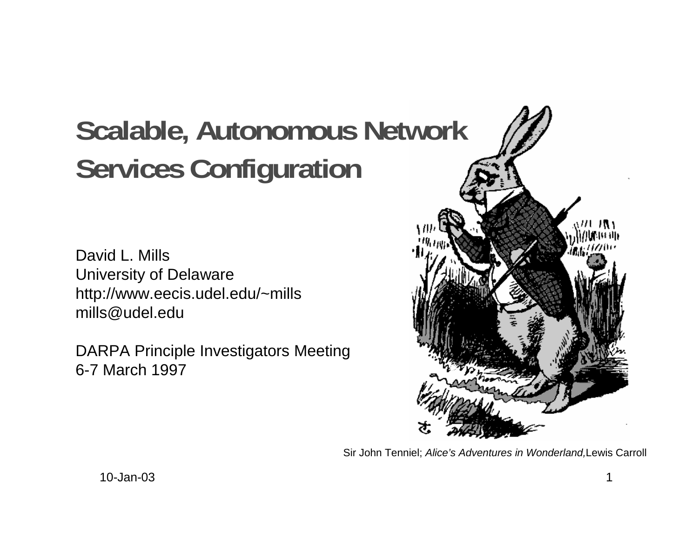# **Scalable, Autonomous Network Services Configuration**

David L. MillsUniversity of Delaware http://www.eecis.udel.edu/~mills mills@udel.edu

DARPA Principle Investigators Meeting 6-7 March 1997



Sir John Tenniel; Alice's Adventures in Wonderland,Lewis Carroll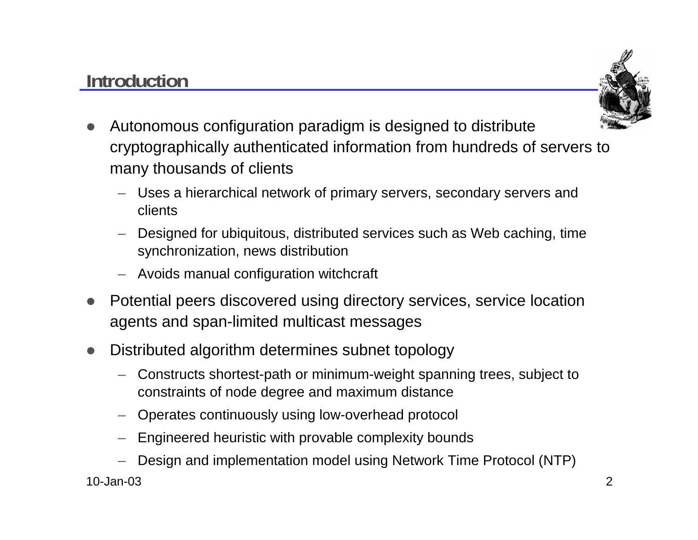## **Introduction**



- $\bullet$  Autonomous configuration paradigm is designed to distribute cryptographically authenticated information from hundreds of servers to many thousands of clients
	- Uses a hierarchical network of primary servers, secondary servers and clients
	- Designed for ubiquitous, distributed services such as Web caching, time synchronization, news distribution
	- Avoids manual configuration witchcraft
- $\bullet$ Potential peers discovered using directory services, service location agents and span-limited multicast messages
- $\bullet$  Distributed algorithm determines subnet topology
	- Constructs shortest-path or minimum-weight spanning trees, subject to constraints of node degree and maximum distance
	- Operates continuously using low-overhead protocol
	- Engineered heuristic with provable complexity bounds
	- Design and implementation model using Network Time Protocol (NTP)

10-Jan-03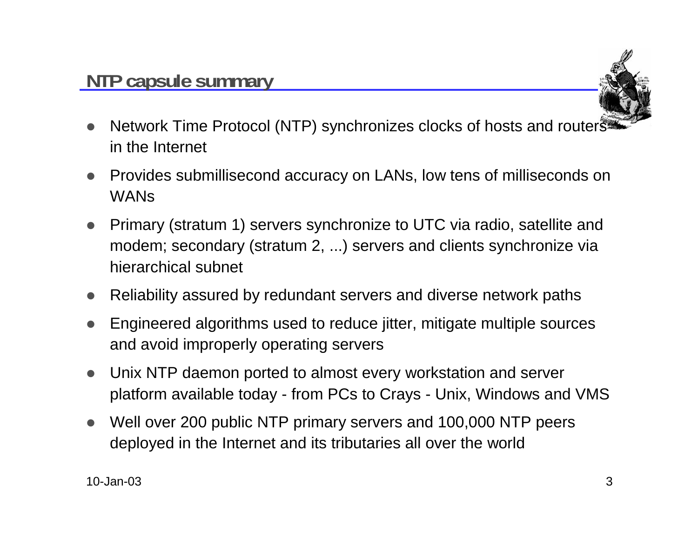

- $\bullet$  Network Time Protocol (NTP) synchronizes clocks of hosts and routers in the Internet
- $\bullet$  Provides submillisecond accuracy on LANs, low tens of milliseconds on WANs
- $\bullet$  Primary (stratum 1) servers synchronize to UTC via radio, satellite and modem; secondary (stratum 2, ...) servers and clients synchronize via hierarchical subnet
- Reliability assured by redundant servers and diverse network paths
- $\bullet$  Engineered algorithms used to reduce jitter, mitigate multiple sources and avoid improperly operating servers
- $\bullet$  Unix NTP daemon ported to almost every workstation and server platform available today - from PCs to Crays - Unix, Windows and VMS
- $\bullet$  Well over 200 public NTP primary servers and 100,000 NTP peers deployed in the Internet and its tributaries all over the world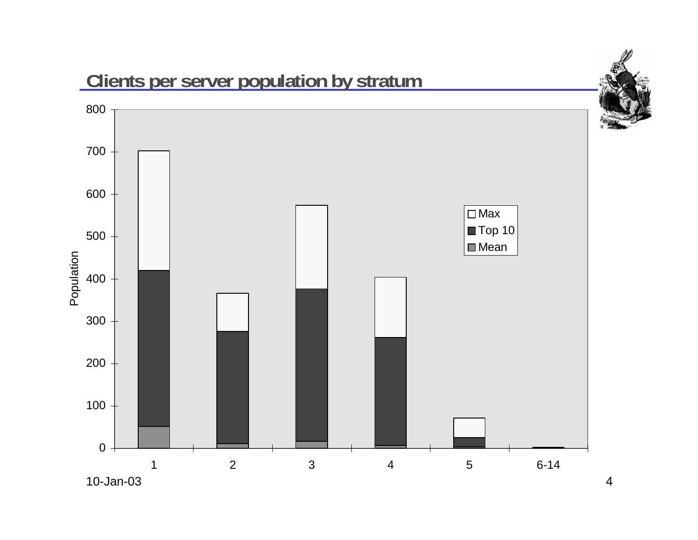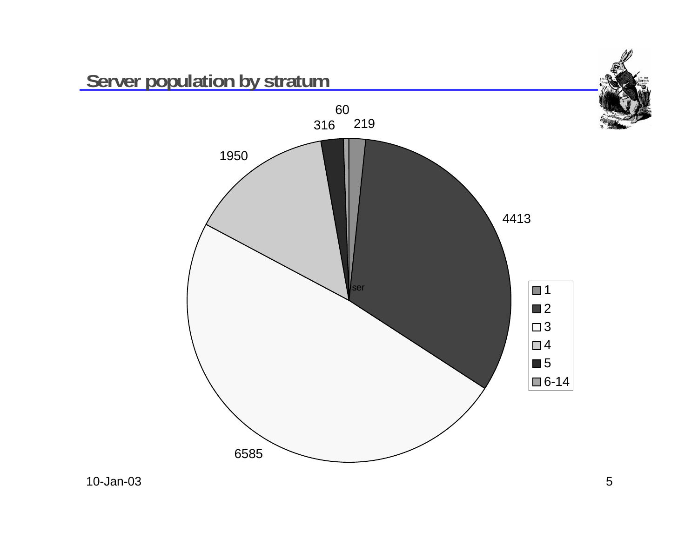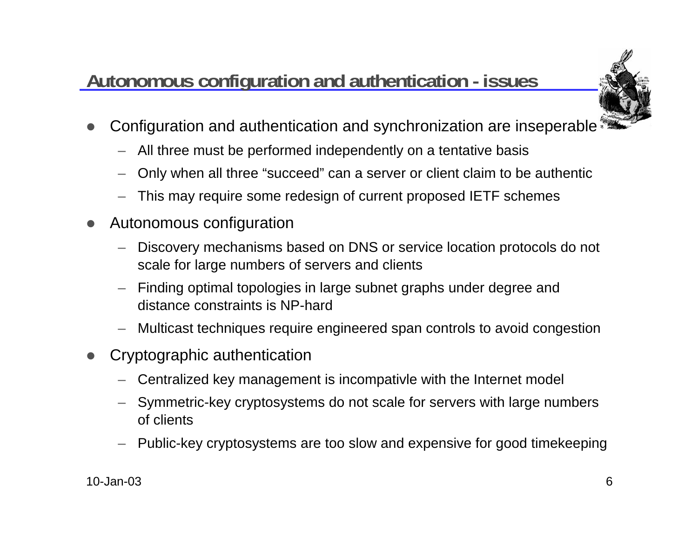# **Autonomous configuration and authentication - issues**



- $\bullet$  Configuration and authentication and synchronization are inseperable
	- All three must be performed independently on a tentative basis
	- Only when all three "succeed" can a server or client claim to be authentic
	- This may require some redesign of current proposed IETF schemes
- $\bullet$  Autonomous configuration
	- Discovery mechanisms based on DNS or service location protocols do not scale for large numbers of servers and clients
	- Finding optimal topologies in large subnet graphs under degree and distance constraints is NP-hard
	- Multicast techniques require engineered span controls to avoid congestion
- $\bullet$  Cryptographic authentication
	- Centralized key management is incompativle with the Internet model
	- Symmetric-key cryptosystems do not scale for servers with large numbers of clients
	- Public-key cryptosystems are too slow and expensive for good timekeeping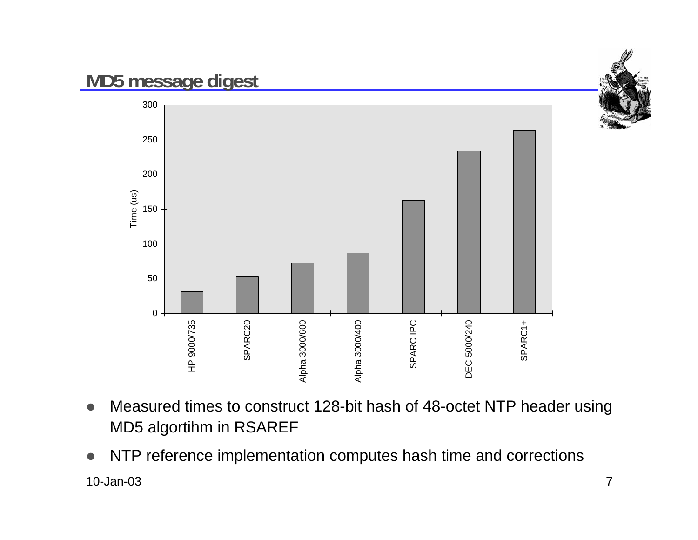

- $\bullet$  Measured times to construct 128-bit hash of 48-octet NTP header using MD5 algortihm in RSAREF
- 10-Jan-03 $3 \overline{7}$  $\bullet$ NTP reference implementation computes hash time and corrections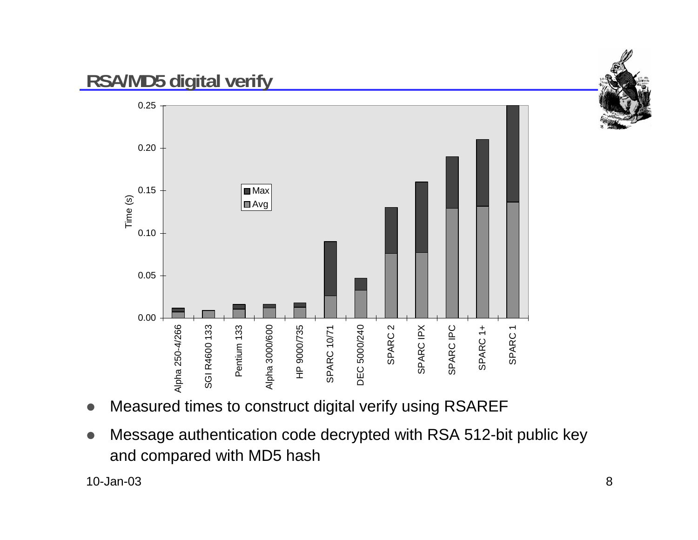

#### **RSA/MD5 digital verify**



- $\bullet$ Measured times to construct digital verify using RSAREF
- $\bullet$  Message authentication code decrypted with RSA 512-bit public key and compared with MD5 hash

10-Jan-03 $3$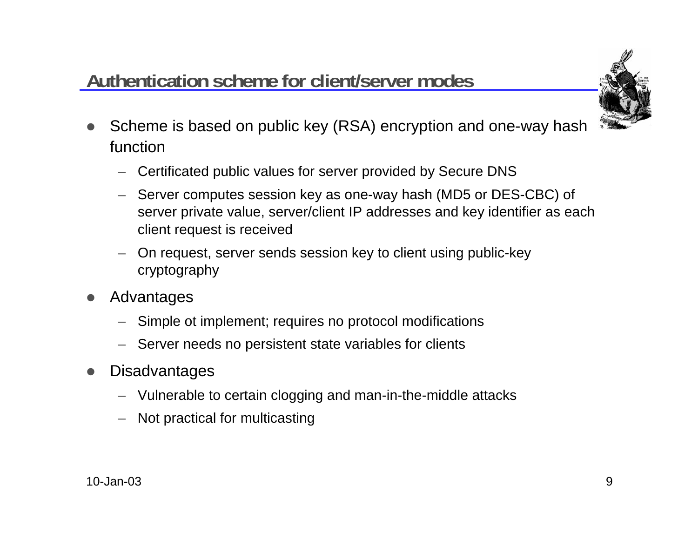## **Authentication scheme for client/server modes**



- $\bullet$  Scheme is based on public key (RSA) encryption and one-way hash function
	- Certificated public values for server provided by Secure DNS
	- Server computes session key as one-way hash (MD5 or DES-CBC) of server private value, server/client IP addresses and key identifier as each client request is received
	- On request, server sends session key to client using public-key cryptography
- $\bullet$  Advantages
	- Simple ot implement; requires no protocol modifications
	- Server needs no persistent state variables for clients
- $\bullet$ **Disadvantages** 
	- Vulnerable to certain clogging and man-in-the-middle attacks
	- Not practical for multicasting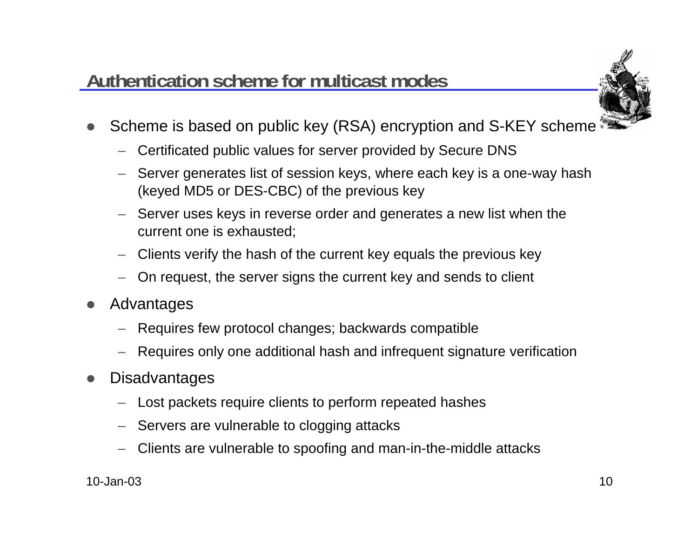#### **Authentication scheme for multicast modes**



- $\bullet$  Scheme is based on public key (RSA) encryption and S-KEY scheme
	- Certificated public values for server provided by Secure DNS
	- Server generates list of session keys, where each key is a one-way hash (keyed MD5 or DES-CBC) of the previous key
	- Server uses keys in reverse order and generates a new list when the current one is exhausted;
	- Clients verify the hash of the current key equals the previous key
	- On request, the server signs the current key and sends to client
- $\bullet$  Advantages
	- Requires few protocol changes; backwards compatible
	- Requires only one additional hash and infrequent signature verification
- $\bullet$ **Disadvantages** 
	- Lost packets require clients to perform repeated hashes
	- Servers are vulnerable to clogging attacks
	- Clients are vulnerable to spoofing and man-in-the-middle attacks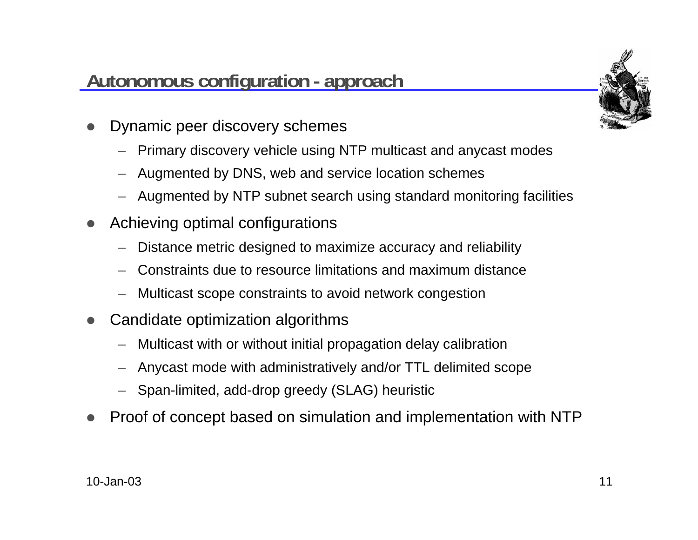#### **Autonomous configuration - approach**



- $\bullet$  Dynamic peer discovery schemes
	- Primary discovery vehicle using NTP multicast and anycast modes
	- Augmented by DNS, web and service location schemes
	- Augmented by NTP subnet search using standard monitoring facilities
- $\bullet$  Achieving optimal configurations
	- Distance metric designed to maximize accuracy and reliability
	- Constraints due to resource limitations and maximum distance
	- Multicast scope constraints to avoid network congestion
- $\bullet$  Candidate optimization algorithms
	- Multicast with or without initial propagation delay calibration
	- Anycast mode with administratively and/or TTL delimited scope
	- Span-limited, add-drop greedy (SLAG) heuristic
- $\bullet$ Proof of concept based on simulation and implementation with NTP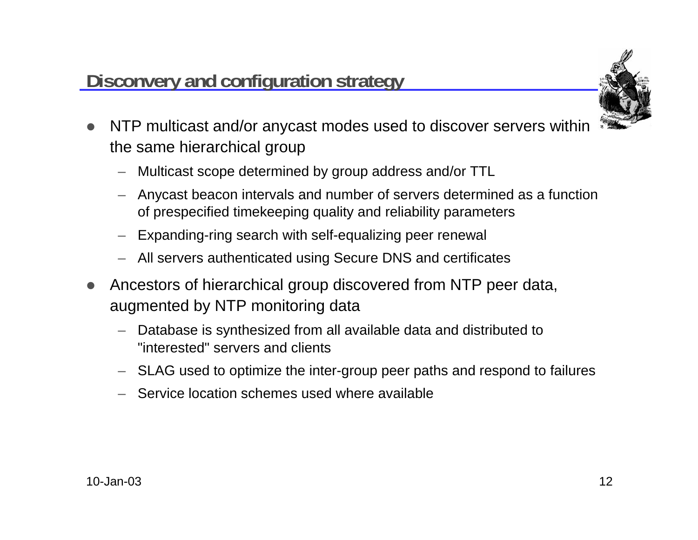#### **Disconvery and configuration strategy**



- $\bullet$  NTP multicast and/or anycast modes used to discover servers within the same hierarchical group
	- Multicast scope determined by group address and/or TTL
	- Anycast beacon intervals and number of servers determined as a function of prespecified timekeeping quality and reliability parameters
	- Expanding-ring search with self-equalizing peer renewal
	- All servers authenticated using Secure DNS and certificates
- $\bullet$  Ancestors of hierarchical group discovered from NTP peer data, augmented by NTP monitoring data
	- Database is synthesized from all available data and distributed to "interested" servers and clients
	- SLAG used to optimize the inter-group peer paths and respond to failures
	- Service location schemes used where available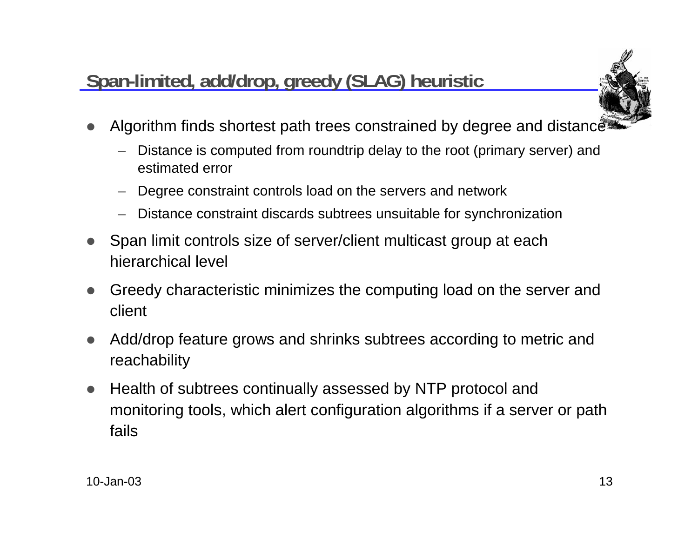# **Span-limited, add/drop, greedy (SLAG) heuristic**



- $\bullet$ Algorithm finds shortest path trees constrained by degree and distance
	- Distance is computed from roundtrip delay to the root (primary server) and estimated error
	- Degree constraint controls load on the servers and network
	- Distance constraint discards subtrees unsuitable for synchronization
- $\bullet$  Span limit controls size of server/client multicast group at each hierarchical level
- $\bullet$  Greedy characteristic minimizes the computing load on the server and client
- $\bullet$  Add/drop feature grows and shrinks subtrees according to metric and reachability
- $\bullet$  Health of subtrees continually assessed by NTP protocol and monitoring tools, which alert configuration algorithms if a server or path fails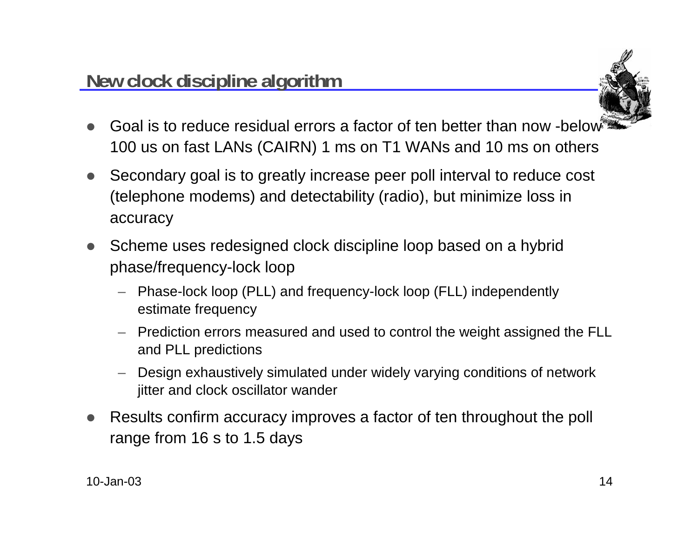

- $\bullet$  Goal is to reduce residual errors a factor of ten better than now -below 100 us on fast LANs (CAIRN) 1 ms on T1 WANs and 10 ms on others
- $\bullet$  Secondary goal is to greatly increase peer poll interval to reduce cost (telephone modems) and detectability (radio), but minimize loss in accuracy
- $\bullet$  Scheme uses redesigned clock discipline loop based on a hybrid phase/frequency-lock loop
	- Phase-lock loop (PLL) and frequency-lock loop (FLL) independently estimate frequency
	- Prediction errors measured and used to control the weight assigned the FLL and PLL predictions
	- Design exhaustively simulated under widely varying conditions of network jitter and clock oscillator wander
- $\bullet$  Results confirm accuracy improves a factor of ten throughout the poll range from 16 s to 1.5 days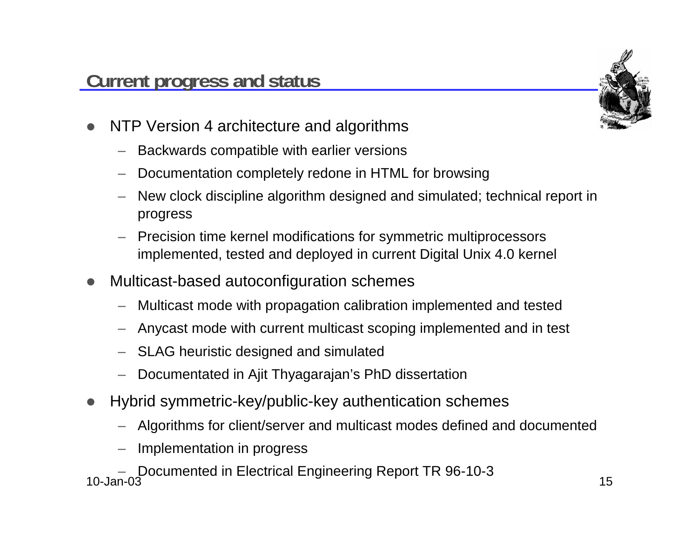

- $\bullet$  NTP Version 4 architecture and algorithms
	- Backwards compatible with earlier versions
	- Documentation completely redone in HTML for browsing
	- New clock discipline algorithm designed and simulated; technical report in progress
	- Precision time kernel modifications for symmetric multiprocessors implemented, tested and deployed in current Digital Unix 4.0 kernel
- $\bullet$  Multicast-based autoconfiguration schemes
	- Multicast mode with propagation calibration implemented and tested
	- Anycast mode with current multicast scoping implemented and in test
	- SLAG heuristic designed and simulated
	- Documentated in Ajit Thyagarajan's PhD dissertation
- $\bullet$  Hybrid symmetric-key/public-key authentication schemes
	- Algorithms for client/server and multicast modes defined and documented
	- Implementation in progress

10-Jan-03– 15 Documented in Electrical Engineering Report TR 96-10-3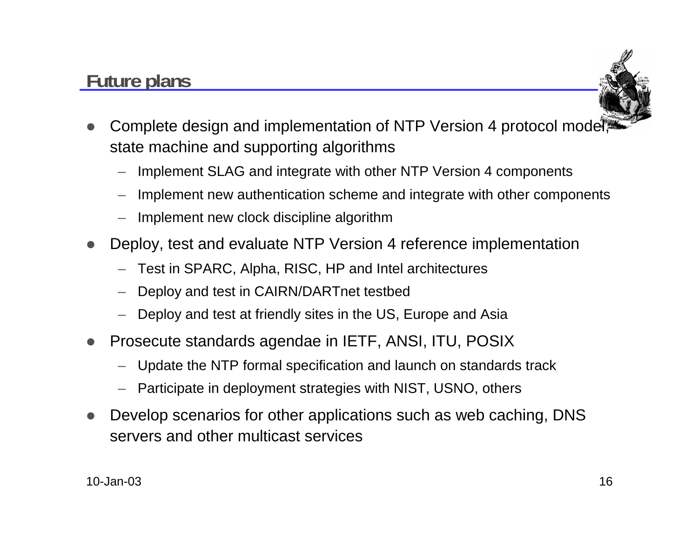## **Future plans**



- $\bullet$  Complete design and implementation of NTP Version 4 protocol model, state machine and supporting algorithms
	- Implement SLAG and integrate with other NTP Version 4 components
	- Implement new authentication scheme and integrate with other components
	- Implement new clock discipline algorithm
- $\bullet$  Deploy, test and evaluate NTP Version 4 reference implementation
	- Test in SPARC, Alpha, RISC, HP and Intel architectures
	- Deploy and test in CAIRN/DARTnet testbed
	- Deploy and test at friendly sites in the US, Europe and Asia
- $\bullet$  Prosecute standards agendae in IETF, ANSI, ITU, POSIX
	- Update the NTP formal specification and launch on standards track
	- Participate in deployment strategies with NIST, USNO, others
- $\bullet$  Develop scenarios for other applications such as web caching, DNS servers and other multicast services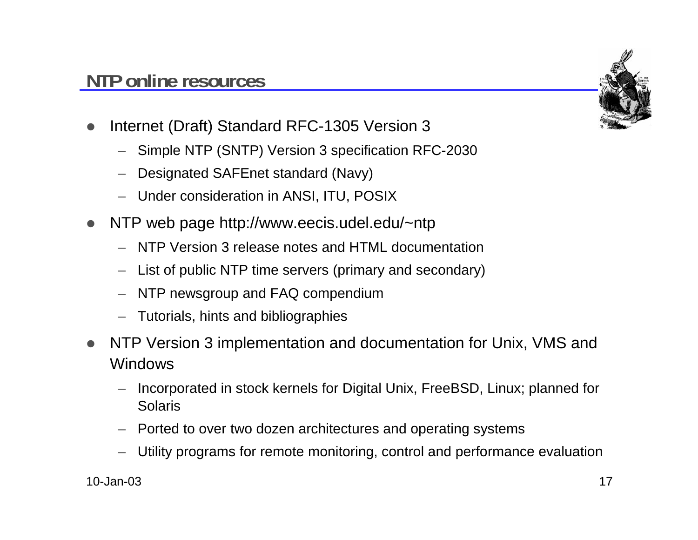#### **NTP online resources**



- $\bullet$  Internet (Draft) Standard RFC-1305 Version 3
	- Simple NTP (SNTP) Version 3 specification RFC-2030
	- Designated SAFEnet standard (Navy)
	- Under consideration in ANSI, ITU, POSIX
- $\bullet$  NTP web page http://www.eecis.udel.edu/~ntp
	- NTP Version 3 release notes and HTML documentation
	- List of public NTP time servers (primary and secondary)
	- NTP newsgroup and FAQ compendium
	- Tutorials, hints and bibliographies
- $\bullet$  NTP Version 3 implementation and documentation for Unix, VMS and Windows
	- Incorporated in stock kernels for Digital Unix, FreeBSD, Linux; planned for Solaris
	- Ported to over two dozen architectures and operating systems
	- Utility programs for remote monitoring, control and performance evaluation